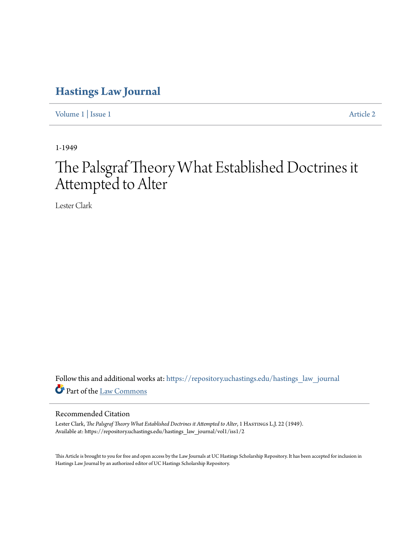# **[Hastings Law Journal](https://repository.uchastings.edu/hastings_law_journal?utm_source=repository.uchastings.edu%2Fhastings_law_journal%2Fvol1%2Fiss1%2F2&utm_medium=PDF&utm_campaign=PDFCoverPages)**

[Volume 1](https://repository.uchastings.edu/hastings_law_journal/vol1?utm_source=repository.uchastings.edu%2Fhastings_law_journal%2Fvol1%2Fiss1%2F2&utm_medium=PDF&utm_campaign=PDFCoverPages) | [Issue 1](https://repository.uchastings.edu/hastings_law_journal/vol1/iss1?utm_source=repository.uchastings.edu%2Fhastings_law_journal%2Fvol1%2Fiss1%2F2&utm_medium=PDF&utm_campaign=PDFCoverPages) [Article 2](https://repository.uchastings.edu/hastings_law_journal/vol1/iss1/2?utm_source=repository.uchastings.edu%2Fhastings_law_journal%2Fvol1%2Fiss1%2F2&utm_medium=PDF&utm_campaign=PDFCoverPages)

1-1949

# The Palsgraf Theory What Established Doctrines it Attempted to Alter

Lester Clark

Follow this and additional works at: [https://repository.uchastings.edu/hastings\\_law\\_journal](https://repository.uchastings.edu/hastings_law_journal?utm_source=repository.uchastings.edu%2Fhastings_law_journal%2Fvol1%2Fiss1%2F2&utm_medium=PDF&utm_campaign=PDFCoverPages) Part of the [Law Commons](http://network.bepress.com/hgg/discipline/578?utm_source=repository.uchastings.edu%2Fhastings_law_journal%2Fvol1%2Fiss1%2F2&utm_medium=PDF&utm_campaign=PDFCoverPages)

## Recommended Citation

Lester Clark, *The Palsgraf Theory What Established Doctrines it Attempted to Alter*, 1 HASTINGS L.J. 22 (1949). Available at: https://repository.uchastings.edu/hastings\_law\_journal/vol1/iss1/2

This Article is brought to you for free and open access by the Law Journals at UC Hastings Scholarship Repository. It has been accepted for inclusion in Hastings Law Journal by an authorized editor of UC Hastings Scholarship Repository.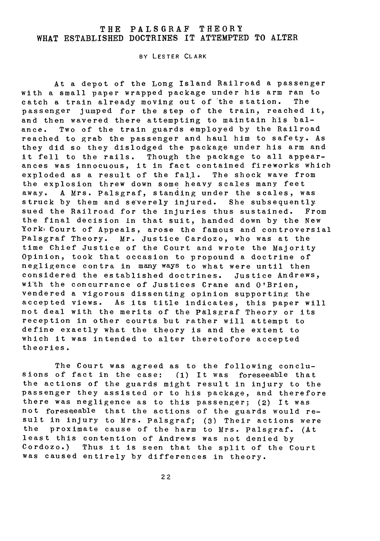### THE PALSGRAF THEORY WHAT **ESTABLISHED** DOCTRINES IT ATTEMPTED TO ALTER

BY LESTER CLARK

At a depot of the Long Island Railroad a passenger with a small paper wrapped package under his arm ran to<br>catch a train already moving out of the station. The catch a train already moving out of the station. passenger jumped for the step of the train, reached it, and then wavered there attempting to maintain his balance. Two of the train guards employed by the Railroad reached to grab the passenger and haul him to safety. As they did so they dislodged the package under his arm and it fell to the rails. Though the package to all appearances was innocuous, it in fact contained fireworks which exploded as a result of the fall. The shock wave from the explosion threw down some heavy scales many feet away. A Mrs. Palsgraf, standing under the scales, was struck by them and severely injured. She subsequently sued the Railroad for the injuries thus sustained. From the final decision In that suit, handed down by the New York Court of Appeals, arose the famous and controversial Palsgraf Theory. Mr. Justice Cardozo, who was at the time Chief Justice of the Court and wrote the Majority Opinion, took that occasion to propound a doctrine of negligence contra in many ways to what were until then considered the established doctrines. Justice Andrews, with the concurrance of Justices Crane and O'Brien, vendered a vigorous dissenting opinion supporting the accepted views. As its title indicates, this paper will not deal with the merits of the Palsgraf Theory or its reception in other courts but rather will attempt to define exaetly what the theory is and the extent to which it was intended to alter theretofore accepted theories.

The Court was agreed as to the following conclusions of fact in the case: **(1)** It was foreseeable that the actions of the guards might result in injury to the passenger they assisted or to his package, and therefore there was negligence as to this passenger; (2) It was not foreseeable that the actions of the guards would result in injury to Mrs. Palsgraf; **(3)** Their actions were the proximate cause of the harm to Mrs. Palsgraf. (At least this contention of Andrews was not denied by Cordozo.) Thus it is seen that the split of the Court was caused entirely by differences in theory.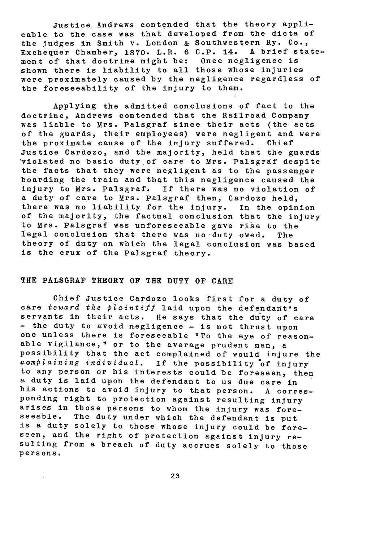Justice Andrews contended that the theory applicable to the case was that developed from the dicta of the judges in Smith v. London & Southwestern Ry. Co., Exchequer Chamber, **1870.** L.R. **6** C.P. 14. A brief statement of that doctrine might be: Once negligence is shown there is liability to all those whose injuries were proximately caused by the negligence regardless of the foreseeability of the injury to them.

Applying the admitted conclusions of fact to the doctrine, Andrews contended that the Railroad Company was liable to Mrs. Palsgraf since their acts (the acts of the guards, their employees) were negligent and were the proximate cause of the injury suffered. Chief Justice Cardozo, and the majority, held that the guards \*violated no basic duty of care to Mrs. Palsgraf despite the facts that they were negligent as to the passenger boarding the train and that this negligence caused the injury to Mrs. Palsgraf. If there was no violation of a duty of care to Mrs. Palsgraf then, Cardozo held, there was no liability for the injury. In the opinion of the majority, the factual conclusion that the injury to Mrs. Palsgraf was unforeseeable gave rise to the legal conclusion that there was no duty owed. The theory of duty on which the legal conclusion was based is the crux of the Palsgraf theory.

#### THE PALSORAF THEORY OF THE **DUTY** OF CARE

Chief Justice Cardozo looks first for a duty of care toward the plaintiff laid upon the defendant's servants in their acts. He says that the duty of care - the duty to avoid negligence - is not thrust upon one unless there is foreseeable "To the eye of reasonable vigilance," or to the average prudent man, a possibility that the act complained of would injure the complaining individual. If the possibility 'of injury to any person or his interests could be foreseen, then a duty is laid upon the defendant to us due care in his actions to avoid injury to that person. A corresponding right to protection against resulting injury arises in those persons to whom the injury was foreseeable. The duty under which the defendant is put is a duty solely to those whose injury could be foreseen, and the right of protection against injury resulting from a breach of duty accrues solely to those persons.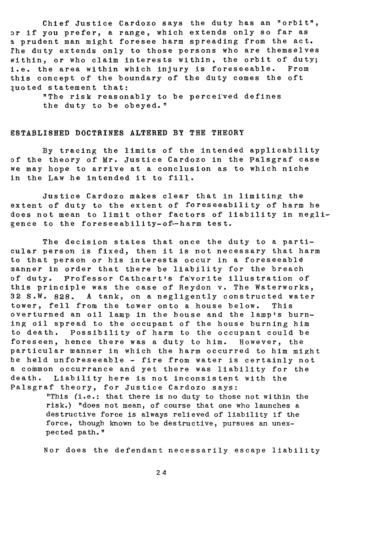Chief Justice Cardozo says the duty has an "orbit", or if you prefer, a range, which extends only so far as **9.** prudent man might foresee harm spreading from the act. rhe duty extends only to those persons who are themselves within, or who claim interests within, the orbit of duty; i.e. the area within which injury is foreseeable. From this concept of the boundary of the duty comes the oft luoted statement that:

> "The risk reasonably to be perceived defines the duty to be obeyed. "

#### E STABLISHED DOCTRINES ALTERED BY THE THEORY

**By** tracing the limits of the intended applicability of the theory of Mr. Justice Cardozo in the Palsgraf case we may hope to arrive at a conclusion as to which niche in the Law he intended it to fill.

Justice Cardozo makes clear that in limiting the extent of duty to the extent of foreseeability of harm he does not mean to limit other factors of liability in negligence to the foreseeability-of--harm test.

The decision states that once the duty to a particular person is fixed, then it is not necessary that harm to that person or his interests occur in a foreseeable manner in order that there be liability for the breach of duty. Professor Cathcart's favorite illustration of this principle was the case of Reydon v. The Waterworks, 32 S.W. 828. A tank, on a negligently constructed water tower, fell from the tower onto a house below. This overturned an oil lamp in the house and the lamp's burning oil spread to the occupant of the house burning him to death. Possibility of harm to the occupant could be foreseen, hence there was a duty to him. However, the particular manner in which the harm occurred to him might be held unforeseeable - fire from water is certainly not a common occurrance and yet there was liability for the death. Liability here is not inconsistent with the Palsgraf theory, for Justice Cardozo says:

> "This (i.e.: that there is no duty to those not within the risk.) "does not mean, of course that one who launches a destructive force is always relieved of liability if the force, though known to be destructive, pursues an unexpected path."

Nor does the defendant necessarily escape liability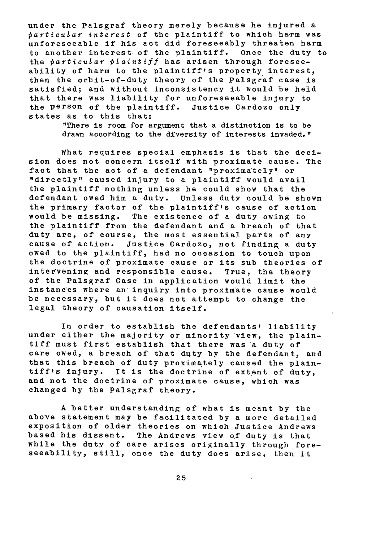under the Palsgraf theory merely because he injured a  $particular$  interest of the plaintiff to which harm was unforeseeable if his act did foreseeably threaten harm to another interest, of the plaintiff. Once the duty to the particular plaintiff has arisen through foreseeability of harm to the plaintiff's property interest, then the orbit-of-duty theory of the Palsgraf case is satisfied; and without inconsistency i.t would be held that there was liability for unforeseeable injury to the person of the plaintiff. Justice Cardozo only states as to this that:

> "There is room for argument that a distinction, is to be drawn according to the diversity of interests invaded."

What requires special emphasis is that the decision does not concern itself with proximate cause. The fact that the act of a defendant "proxima'tely" or "directly" caused injury to a plaintiff would avail the plaintiff nothing unless he could show that the defendant owed him a duty. Unless duty could be shown the primary factor of the plaintiff's cause of action would be missing. The existence of a duty owing to the plaintiff from the defendant and a breach of that duty are, of course, the most essential parts of any cause of action. Justice Cardozo, not finding a duty owed to the plaintiff, had no occasion to touch upon the doctrine of proximate cause or its sub theories of inter vening and responsible cause. True, the theory of the Palsgraf Case in application would limit the instances where an inquiry into proximate cause would be necessary, but it does not attempt to change the legal theory of causation itself.

In order to establish the defendants' liability under either the majority or minority view, the plaintiff must first establish that there was a duty of care owed, a breach of that duty by the defendant, and that this breach of duty proximately caused the plaintiff's injury. It is the doctrine of extent of duty, and not the doctrine of proximate cause, which was changed by the Palsgraf theory.

A better understanding of what is meant by the above statement may be facilitated by a more detailed exposition of older theories on which Justice Andrews based his dissent. The Andrews view of duty is that while the duty of care arises originally through foreseeability, still, once the duty does arise, then it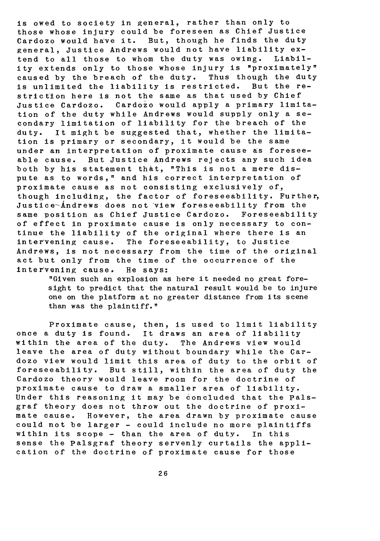is owed to society in general, rather than only to those whose injury could be foreseen as Chief Justice Cardozo would have it. But, though he finds the duty general, Justice Andrews would not have liability extend to all those to whom the duty was owing. Liability extends only to those whose injury is "proximately" caused by the breach of the duty. Thus though the duty is unlimited the liability is restricted. But the restriction here is not the same as that used by Chief Justice Cardozo. Cardozo would apply a primary limitation of the duty while Andrews would supply only a secondary limitation of liability for the breach of the duty. It might be suggested that, whether the limitation is primary or secondary, it would be the same under an interpretation of proximate cause as foreseeable cause. But Justice Andrews rejects any such idea both by his statement that, "This is not a mere dispute as to words," and his correct interpretation of proximate cause as not consisting exclusively of, though including, the factor of foreseeability. Further, Justice-Andrews does not view foreseeability from the same position as Chief Justice Cardozo. Foreseeability of effect in proximate cause is only necessary to continue the liability of the original where there is an intervening cause. The foreseeability, to Justice Andrews, is not necessary from the time of the original act but only from the time of the occurrence of the intervening cause. He says:

> "Given such an explosion as here it needed no great foresight to predict that the natural result would be to injure one on the platform at no greater distance from its scene than was the plaintiff."

Proximate cause, then, is used to limit liability once a duty is found. It draws an area of liability within the area of the duty. The Andrews view would leave the area of duty without boundary while the Cardozo view would limit this area of duty to the orbit of foreseeability. But still, within the area of duty the Cardozo theory would leave room for the doctrine of proximate cause to draw a smaller area of liability. Under this reasoning it may be concluded that the Palsgraf theory does not throw out the doctrine of proximate cause. However, the area drawn by proximate cause could not be larger - could include no more plaintiffs within its scope - than the area of duty. In this sense the Palsgraf theory servenly curtails the application of the doctrine of proximate cause for those